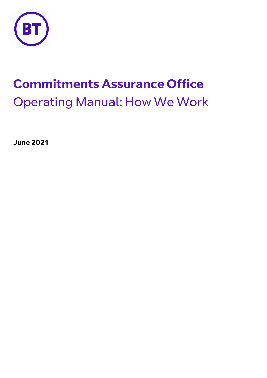

# **Commitments Assurance Office** Operating Manual: How We Work

**June 2021**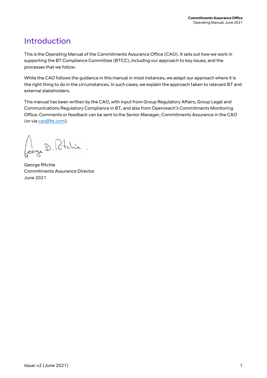# <span id="page-1-0"></span>Introduction

This is the Operating Manual of the Commitments Assurance Office (CAO). It sets out how we work in supporting the BT Compliance Committee (BTCC), including our approach to key issues, and the processes that we follow.

While the CAO follows the guidance in this manual in most instances, we adapt our approach where it is the right thing to do in the circumstances. In such cases, we explain the approach taken to relevant BT and external stakeholders.

This manual has been written by the CAO, with input from Group Regulatory Affairs, Group Legal and Communications Regulatory Compliance in BT, and also from Openreach's Commitments Monitoring Office. Comments or feedback can be sent to the Senior Manager, Commitments Assurance in the CAO (or vi[a cao@bt.com\)](mailto:cao@bt.com).

Cerze D. Ritchie.

George Ritchie Commitments Assurance Director June 2021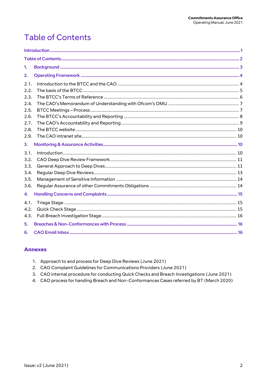# <span id="page-2-0"></span>**Table of Contents**

| 1.                                                           |  |  |  |  |  |
|--------------------------------------------------------------|--|--|--|--|--|
| 2.                                                           |  |  |  |  |  |
| 2.1.<br>2.2.<br>2.3.<br>2.4.<br>2.5.<br>2.6.<br>2.7.<br>2.8. |  |  |  |  |  |
| 2.9.                                                         |  |  |  |  |  |
| 3.                                                           |  |  |  |  |  |
| 3.1.<br>3.2.<br>3.3.<br>3.4.<br>3.5.<br>3.6.                 |  |  |  |  |  |
| 4.                                                           |  |  |  |  |  |
| 4.1.<br>4.2.<br>4.3.                                         |  |  |  |  |  |
| 5.                                                           |  |  |  |  |  |
| 6.                                                           |  |  |  |  |  |

### **Annexes**

- 1. Approach to and process for Deep Dive Reviews (June 2021)
- 2. CAO Complaint Guidelines for Communications Providers (June 2021)
- 3. CAO internal procedure for conducting Quick Checks and Breach Investigations (June 2021)
- 4. CAO process for handing Breach and Non-Conformances Cases referred by BT (March 2020)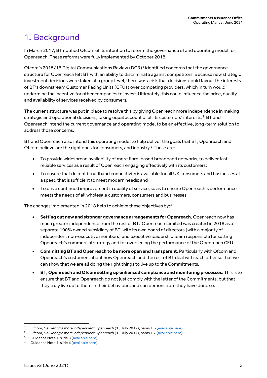# <span id="page-3-0"></span>1. Background

In March 2017, BT notified Ofcom of its intention to reform the governance of and operating model for Openreach. These reforms were fully implemented by October 2018.

Ofcom's 2015/16 Digital Communications Review (DCR)<sup>1</sup> identified concerns that the governance structure for Openreach left BT with an ability to discriminate against competitors. Because new strategic investment decisions were taken at a group level, there was a risk that decisions could favour the interests of BT's downstream Customer Facing Units (CFUs) over competing providers, which in turn would undermine the incentive for other companies to invest. Ultimately, this could influence the price, quality and availability of services received by consumers.

The current structure was put in place to resolve this by giving Openreach more independence in making strategic and operational decisions, taking equal account of all its customers' interests.<sup>2</sup> BT and Openreach intend the current governance and operating model to be an effective, long-term solution to address those concerns.

BT and Openreach also intend this operating model to help deliver the goals that BT, Openreach and Ofcom believe are the right ones for consumers, and industry. <sup>3</sup> These are:

- To provide widespread availability of more fibre-based broadband networks, to deliver fast, reliable services as a result of Openreach engaging effectively with its customers;
- To ensure that decent broadband connectivity is available for all UK consumers and businesses at a speed that is sufficient to meet modern needs; and
- To drive continued improvement in quality of service, so as to ensure Openreach's performance meets the needs of all wholesale customers, consumers and businesses.

The changes implemented in 2018 help to achieve these objectives by: 4

- **Setting out new and stronger governance arrangements for Openreach.** Openreach now has much greater independence from the rest of BT. Openreach Limited was created in 2018 as a separate 100% owned subsidiary of BT, with its own board of directors (with a majority of independent non-executive members) and executive leadership team responsible for setting Openreach's commercial strategy and for overseeing the performance of the Openreach CFU.
- **Committing BT and Openreach to be more open and transparent.** Particularly with Ofcom and Openreach's customers about how Openreach and the rest of BT deal with each other so that we can show that we are all doing the right things to live up to the Commitments.
- **BT, Openreach and Ofcom setting up enhanced compliance and monitoring processes**. This is to ensure that BT and Openreach do not just comply with the letter of the Commitments, but that they truly live up to them in their behaviours and can demonstrate they have done so.

 $\overline{\phantom{a}}$ 

<sup>1</sup> Ofcom, *Delivering a more independent Openreach* (13 July 2017), paras 1.6 [\(available here\)](https://www.ofcom.org.uk/consultations-and-statements/category-3/delivering-a-more-independent-openreach).

<sup>&</sup>lt;sup>2</sup> Ofcom, *Delivering a more independent Openreach* (13 July 2017), paras 1.7 [\(available here\)](https://www.ofcom.org.uk/consultations-and-statements/category-3/delivering-a-more-independent-openreach).

Guidance Note 1, slide 3 [\(available](https://www.bt.com/about/bt/policy-and-regulation/our-governance-and-strategy/our-commitments/guidance-notes) here).

Guidance Note 1, slide 4 [\(available here\)](https://www.bt.com/about/bt/policy-and-regulation/our-governance-and-strategy/our-commitments/guidance-notes).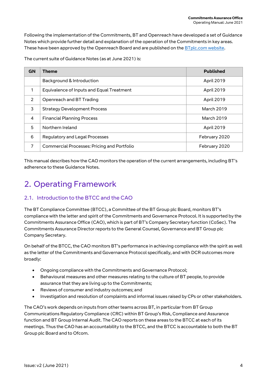Following the implementation of the Commitments, BT and Openreach have developed a set of Guidance Notes which provide further detail and explanation of the operation of the Commitments in key areas. These have been approved by the Openreach Board and are published on the [BTplc.com website.](https://www.bt.com/about/bt/policy-and-regulation/our-governance-and-strategy/our-commitments/guidance-notes)

The current suite of Guidance Notes (as at June 2021) is:

| <b>GN</b> | Theme                                              | <b>Published</b>  |
|-----------|----------------------------------------------------|-------------------|
|           | Background & Introduction                          | April 2019        |
|           | Equivalence of Inputs and Equal Treatment          | April 2019        |
| 2         | Openreach and BT Trading                           | April 2019        |
| 3         | <b>Strategy Development Process</b>                | <b>March 2019</b> |
| 4         | <b>Financial Planning Process</b>                  | March 2019        |
| 5         | Northern Ireland                                   | April 2019        |
| 6         | Regulatory and Legal Processes                     | February 2020     |
| 7         | <b>Commercial Processes: Pricing and Portfolio</b> | February 2020     |

This manual describes how the CAO monitors the operation of the current arrangements, including BT's adherence to these Guidance Notes.

# <span id="page-4-0"></span>2. Operating Framework

## <span id="page-4-1"></span>2.1. Introduction to the BTCC and the CAO

The BT Compliance Committee (BTCC), a Committee of the BT Group plc Board, monitors BT's compliance with the letter and spirit of the Commitments and Governance Protocol. It is supported by the Commitments Assurance Office (CAO), which is part of BT's Company Secretary function (CoSec). The Commitments Assurance Director reports to the General Counsel, Governance and BT Group plc Company Secretary.

On behalf of the BTCC, the CAO monitors BT's performance in achieving compliance with the spirit as well as the letter of the Commitments and Governance Protocol specifically, and with DCR outcomes more broadly:

- Ongoing compliance with the Commitments and Governance Protocol;
- Behavioural measures and other measures relating to the culture of BT people, to provide assurance that they are living up to the Commitments;
- Reviews of consumer and industry outcomes; and
- Investigation and resolution of complaints and informal issues raised by CPs or other stakeholders.

The CAO's work depends on inputs from other teams across BT, in particular from BT Group Communications Regulatory Compliance (CRC) within BT Group's Risk, Compliance and Assurance function and BT Group Internal Audit. The CAO reports on these areas to the BTCC at each of its meetings. Thus the CAO has an accountability to the BTCC, and the BTCC is accountable to both the BT Group plc Board and to Ofcom.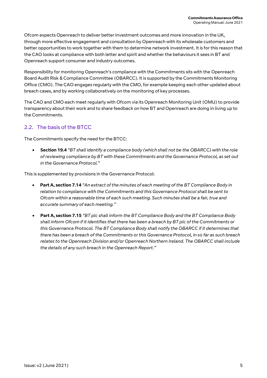Ofcom expects Openreach to deliver better investment outcomes and more innovation in the UK, through more effective engagement and consultation by Openreach with its wholesale customers and better opportunities to work together with them to determine network investment. It is for this reason that the CAO looks at compliance with both letter and spirit and whether the behaviours it sees in BT and Openreach support consumer and industry outcomes.

Responsibility for monitoring Openreach's compliance with the Commitments sits with the Openreach Board Audit Risk & Compliance Committee (OBARCC). It is supported by the Commitments Monitoring Office (CMO). The CAO engages regularly with the CMO, for example keeping each other updated about breach cases, and by working collaboratively on the monitoring of key processes.

The CAO and CMO each meet regularly with Ofcom via its Openreach Monitoring Unit (OMU) to provide transparency about their work and to share feedback on how BT and Openreach are doing in living up to the Commitments.

# <span id="page-5-0"></span>2.2. The basis of the BTCC

The Commitments specify the need for the BTCC:

 **Section 19.4** *"BT shall identify a compliance body (which shall not be the OBARCC) with the role of reviewing compliance by BT with these Commitments and the Governance Protocol, as set out in the Governance Protocol."*

This is supplemented by provisions in the Governance Protocol:

- **Part A, section 7.14** *"An extract of the minutes of each meeting of the BT Compliance Body in relation to compliance with the Commitments and this Governance Protocol shall be sent to Ofcom within a reasonable time of each such meeting. Such minutes shall be a fair, true and accurate summary of each meeting."*
- <span id="page-5-1"></span> **Part A, section 7.15** *"BT plc shall inform the BT Compliance Body and the BT Compliance Body shall inform Ofcom if it identifies that there has been a breach by BT plc of the Commitments or this Governance Protocol. The BT Compliance Body shall notify the OBARCC if it determines that there has been a breach of the Commitments or this Governance Protocol, in so far as such breach relates to the Openreach Division and/or Openreach Northern Ireland. The OBARCC shall include the details of any such breach in the Openreach Report."*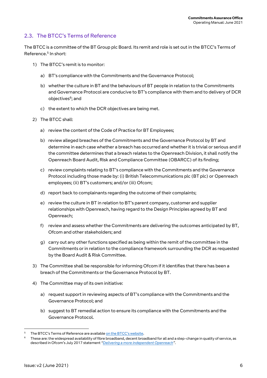### 2.3. The BTCC's Terms of Reference

The BTCC is a committee of the BT Group plc Board. Its remit and role is set out in the BTCC's Terms of Reference.<sup>5</sup> In short:

- 1) The BTCC's remit is to monitor:
	- a) BT's compliance with the Commitments and the Governance Protocol;
	- b) whether the culture in BT and the behaviours of BT people in relation to the Commitments and Governance Protocol are conducive to BT's compliance with them and to delivery of DCR objectives<sup>6</sup>; and
	- c) the extent to which the DCR objectives are being met.
- 2) The BTCC shall:
	- a) review the content of the Code of Practice for BT Employees;
	- b) review alleged breaches of the Commitments and the Governance Protocol by BT and determine in each case whether a breach has occurred and whether it is trivial or serious and if the committee determines that a breach relates to the Openreach Division, it shall notify the Openreach Board Audit, Risk and Compliance Committee (OBARCC) of its finding;
	- c) review complaints relating to BT's compliance with the Commitments and the Governance Protocol including those made by: (i) British Telecommunications plc (BT plc) or Openreach employees; (ii) BT's customers; and/or (iii) Ofcom;
	- d) report back to complainants regarding the outcome of their complaints;
	- e) review the culture in BT in relation to BT's parent company, customer and supplier relationships with Openreach, having regard to the Design Principles agreed by BT and Openreach;
	- f) review and assess whether the Commitments are delivering the outcomes anticipated by BT, Ofcom and other stakeholders; and
	- g) carry out any other functions specified as being within the remit of the committee in the Commitments or in relation to the compliance framework surrounding the DCR as requested by the Board Audit & Risk Committee.
- 3) The Committee shall be responsible for informing Ofcom if it identifies that there has been a breach of the Commitments or the Governance Protocol by BT.
- 4) The Committee may of its own initiative:
	- a) request support in reviewing aspects of BT's compliance with the Commitments and the Governance Protocol; and
	- b) suggest to BT remedial action to ensure its compliance with the Commitments and the Governance Protocol.

The BTCC's Terms of Reference are availabl[e on the BTCC's website](https://www.bt.com/about/bt/our-company/group-governance/our-committees/bt-compliance-committee/terms-of-reference).

These are: the widespread availability of fibre broadband, decent broadband for all and a step-change in quality of service, as described in Ofcom's July 2017 statement *"[Delivering a more independent Openreach](https://www.ofcom.org.uk/consultations-and-statements/category-3/delivering-a-more-independent-openreach)"*.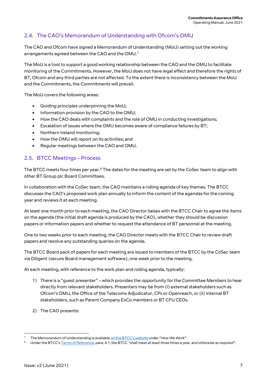## <span id="page-7-0"></span>2.4. The CAO's Memorandum of Understanding with Ofcom's OMU

The CAO and Ofcom have signed a Memorandum of Understanding (MoU) setting out the working arrangements agreed between the CAO and the OMU. $^7$ 

The MoU is a tool to support a good working relationship between the CAO and the OMU to facilitate monitoring of the Commitments. However, the MoU does not have legal effect and therefore the rights of BT, Ofcom and any third parties are not affected. To the extent there is inconsistency between the MoU and the Commitments, the Commitments will prevail.

The MoU covers the following areas:

- Guiding principles underpinning the MoU;
- Information provision by the CAO to the OMU;
- How the CAO deals with complaints and the role of OMU in conducting investigations;
- Escalation of issues where the OMU becomes aware of compliance failures by BT;
- Northern Ireland monitoring;
- How the OMU will report on its activities; and
- Regular meetings between the CAO and OMU.

### <span id="page-7-1"></span>2.5. BTCC Meetings – Process

The BTCC meets four times per year. $8$  The dates for the meeting are set by the CoSec team to align with other BT Group plc Board Committees.

In collaboration with the CoSec team, the CAO maintains a rolling agenda of key themes. The BTCC discusses the CAO's proposed work plan annually to inform the content of the agendas for the coming year and reviews it at each meeting.

At least one month prior to each meeting, the CAO Director liaises with the BTCC Chair to agree the items on the agenda (the initial draft agenda is produced by the CAO), whether they should be discussion papers or information papers and whether to request the attendance of BT personnel at the meeting.

One to two weeks prior to each meeting, the CAO Director meets with the BTCC Chair to review draft papers and resolve any outstanding queries on the agenda.

The BTCC Board pack of papers for each meeting are issued to members of the BTCC by the CoSec team via Diligent (secure Board management software), one week prior to the meeting.

At each meeting, with reference to the work plan and rolling agenda, typically:

- 1) There is a "guest presenter" which provides the opportunity for the Committee Members to hear directly from relevant stakeholders. Presenters may be from (i) external stakeholders such as Ofcom's OMU, the Office of the Telecoms Adjudicator, CPs or Openreach, or (ii) internal BT stakeholders, such as Parent Company ExCo members or BT CFU CEOs.
- 2) The CAO presents:

<sup>&</sup>lt;u>.</u> <sup>7</sup> The Memorandum of Understanding is available [on the BTCC's website](https://www.bt.com/about/bt/our-company/group-governance/our-committees/bt-compliance-committee/how-we-work) under "*How We Work*".

<sup>8</sup> Under the BTCC's [Terms of Reference,](https://www.bt.com/about/bt/our-company/group-governance/our-committees/bt-compliance-committee/terms-of-reference) para. 4.1, the BTCC *"shall meet at least three times a year, and otherwise as required"*.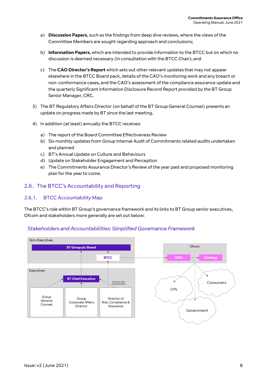- a) **Discussion Papers**, such as the findings from deep dive reviews, where the views of the Committee Members are sought regarding approach and conclusions;
- b) **Information Papers**, which are intended to provide information to the BTCC but on which no discussion is deemed necessary (in consultation with the BTCC Chair); and
- c) The **CAO Director's Report** which sets out other relevant updates that may not appear elsewhere in the BTCC Board pack, details of the CAO's monitoring work and any breach or non-conformance cases, and the CAO's assessment of the compliance assurance update and the quarterly Significant information Disclosure Record Report provided by the BT Group Senior Manager, CRC.
- 3) The BT Regulatory Affairs Director (on behalf of the BT Group General Counsel) presents an update on progress made by BT since the last meeting.
- 4) In addition (at least) annually the BTCC receives:
	- a) The report of the Board Committee Effectiveness Review
	- b) Six monthly updates from Group Internal Audit of Commitments related audits undertaken and planned
	- c) BT's Annual Update on Culture and Behaviours
	- d) Update on Stakeholder Engagement and Perception
	- e) The Commitments Assurance Director's Review of the year past and proposed monitoring plan for the year to come.

### <span id="page-8-0"></span>2.6. The BTCC's Accountability and Reporting

#### 2.6.1. BTCC Accountability Map

The BTCC's role within BT Group's governance framework and its links to BT Group senior executives, Ofcom and stakeholders more generally are set out below:

#### Stakeholders and Accountabilities: Simplified Governance Framework

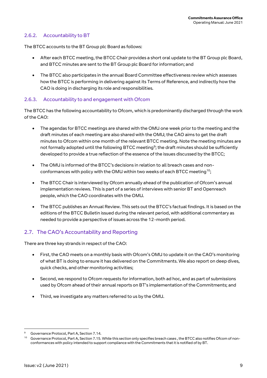#### 2.6.2. Accountability to BT

The BTCC accounts to the BT Group plc Board as follows:

- After each BTCC meeting, the BTCC Chair provides a short oral update to the BT Group plc Board, and BTCC minutes are sent to the BT Group plc Board for information; and
- The BTCC also participates in the annual Board Committee effectiveness review which assesses how the BTCC is performing in delivering against its Terms of Reference, and indirectly how the CAO is doing in discharging its role and responsibilities.

#### 2.6.3. Accountability to and engagement with Ofcom

The BTCC has the following accountability to Ofcom, which is predominantly discharged through the work of the CAO:

- The agendas for BTCC meetings are shared with the OMU one week prior to the meeting and the draft minutes of each meeting are also shared with the OMU; the CAO aims to get the draft minutes to Ofcom within one month of the relevant BTCC meeting. Note the meeting minutes are not formally adopted until the following BTCC meeting<sup>9</sup>; the draft minutes should be sufficiently developed to provide a true reflection of the essence of the issues discussed by the BTCC;
- The OMU is informed of the BTCC's decisions in relation to all breach cases and nonconformances with policy with the OMU within two weeks of each BTCC meeting<sup>10</sup>;
- The BTCC Chair is interviewed by Ofcom annually ahead of the publication of Ofcom's annual implementation reviews. This is part of a series of interviews with senior BT and Openreach people, which the CAO coordinates with the OMU.
- The BTCC publishes an Annual Review. This sets out the BTCC's factual findings. It is based on the editions of the BTCC Bulletin issued during the relevant period, with additional commentary as needed to provide a perspective of issues across the 12-month period.

### <span id="page-9-0"></span>2.7. The CAO's Accountability and Reporting

There are three key strands in respect of the CAO:

- First, the CAO meets on a monthly basis with Ofcom's OMU to update it on the CAO's monitoring of what BT is doing to ensure it has delivered on the Commitments. We also report on deep dives, quick checks, and other monitoring activities;
- Second, we respond to Ofcom requests for information, both ad hoc, and as part of submissions used by Ofcom ahead of their annual reports on BT's implementation of the Commitments; and
- Third, we investigate any matters referred to us by the OMU.

Governance Protocol, Part A, Section 7.14.

<sup>&</sup>lt;sup>10</sup> Governance Protocol, Part A, Section 7.15. While this section only specifies breach cases, the BTCC also notifies Ofcom of nonconformances with policy intended to support compliance with the Commitments that it is notified of by BT.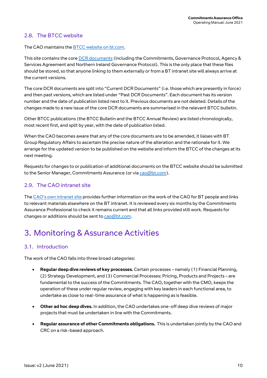### <span id="page-10-0"></span>2.8. The BTCC website

The CAO maintains the [BTCC website on bt.com.](https://www.bt.com/about/bt/our-company/group-governance/our-committees/bt-compliance-committee)

This site contains the cor[e DCR documents](https://www.bt.com/about/bt/our-company/group-governance/our-committees/bt-compliance-committee/publications-and-dcr-documents) (including the Commitments, Governance Protocol, Agency & Services Agreement and Northern Ireland Governance Protocol). This is the only place that these files should be stored, so that anyone linking to them externally or from a BT intranet site will always arrive at the current versions.

The core DCR documents are split into "Current DCR Documents" (i.e. those which are presently in force) and then past versions, which are listed under "Past DCR Documents". Each document has its version number and the date of publication listed next to it. Previous documents are not deleted. Details of the changes made to a new issue of the core DCR documents are summarised in the relevant BTCC bulletin.

Other BTCC publications (the BTCC Bulletin and the BTCC Annual Review) are listed chronologically, most recent first, and split by year, with the date of publication listed.

When the CAO becomes aware that any of the core documents are to be amended, it liaises with BT Group Regulatory Affairs to ascertain the precise nature of the alteration and the rationale for it. We arrange for the updated version to be published on the website and inform the BTCC of the changes at its next meeting.

Requests for changes to or publication of additional documents on the BTCC website should be submitted to the Senior Manager, Commitments Assurance (or vi[a cao@bt.com\)](mailto:cao@bt.com).

### <span id="page-10-1"></span>2.9. The CAO intranet site

The CAO'[s own intranet site](https://intra.bt.com/bt/lgc/governance/cao/Pages/index.aspx) provides further information on the work of the CAO for BT people and links to relevant materials elsewhere on the BT intranet. It is reviewed every six months by the Commitments Assurance Professional to check it remains current and that all links provided still work. Requests for changes or additions should be sent t[o cao@bt.com.](mailto:cao@bt.com)

# <span id="page-10-2"></span>3. Monitoring & Assurance Activities

#### <span id="page-10-3"></span>3.1. Introduction

The work of the CAO falls into three broad categories:

- **Regular deep dive reviews of key processes.** Certain processes namely (1) Financial Planning, (2) Strategy Development, and (3) Commercial Processes: Pricing, Products and Projects – are fundamental to the success of the Commitments. The CAO, together with the CMO, keeps the operation of these under regular review, engaging with key leaders in each functional area, to undertake as close to real-time assurance of what is happening as is feasible.
- **Other ad hoc deep dives.** In addition, the CAO undertakes one-off deep dive reviews of major projects that must be undertaken in line with the Commitments.
- **Regular assurance of other Commitments obligations.** This is undertaken jointly by the CAO and CRC on a risk-based approach.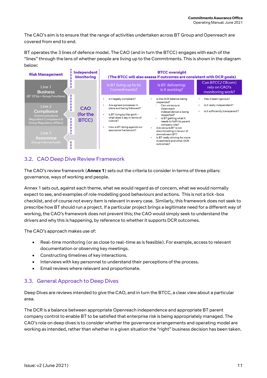The CAO's aim is to ensure that the range of activities undertaken across BT Group and Openreach are covered from end to end.

BT operates the 3 lines of defence model. The CAO (and in turn the BTCC) engages with each of the "lines" through the lens of whether people are living up to the Commitments. This is shown in the diagram below:



## <span id="page-11-0"></span>3.2. CAO Deep Dive Review Framework

The CAO's review framework (**Annex 1**) sets out the criteria to consider in terms of three pillars: governance, ways of working and people.

Annex 1 sets out, against each theme, what we would regard as of concern, what we would normally expect to see, and examples of role modelling good behaviours and actions. This is not a tick-box checklist, and of course not every item is relevant in every case. Similarly, this framework does not seek to prescribe how BT should run a project. If a particular project brings a legitimate need for a different way of working, the CAO's framework does not prevent this; the CAO would simply seek to understand the drivers and why this is happening, by reference to whether it supports DCR outcomes.

The CAO's approach makes use of:

- Real-time monitoring (or as close to real-time as is feasible). For example, access to relevant documentation or observing key meetings.
- Constructing timelines of key interactions.
- Interviews with key personnel to understand their perceptions of the process.
- Email reviews where relevant and proportionate.

### <span id="page-11-1"></span>3.3. General Approach to Deep Dives

Deep Dives are reviews intended to give the CAO, and in turn the BTCC, a clear view about a particular area.

The DCR is a balance between appropriate Openreach independence and appropriate BT parent company control to enable BT to be satisfied that enterprise risk is being appropriately managed. The CAO's role on deep dives is to consider whether the governance arrangements and operating model are working as intended, rather than whether in a given situation the "right" business decision has been taken.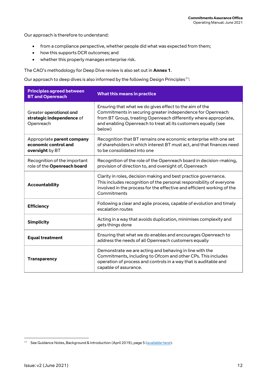Our approach is therefore to understand:

- from a compliance perspective, whether people did what was expected from them;
- how this supports DCR outcomes; and
- whether this properly manages enterprise risk.

The CAO's methodology for Deep Dive review is also set out in **Annex 1**.

Our approach to deep dives is also informed by the following Design Principles<sup>11</sup>:

| <b>Principles agreed between</b><br><b>BT</b> and Openreach           | What this means in practice                                                                                                                                                                                                                                           |  |  |
|-----------------------------------------------------------------------|-----------------------------------------------------------------------------------------------------------------------------------------------------------------------------------------------------------------------------------------------------------------------|--|--|
| Greater operational and<br>strategic independence of<br>Openreach     | Ensuring that what we do gives effect to the aim of the<br>Commitments in securing greater independence for Openreach<br>from BT Group, treating Openreach differently where appropriate,<br>and enabling Openreach to treat all its customers equally (see<br>below) |  |  |
| Appropriate parent company<br>economic control and<br>oversight by BT | Recognition that BT remains one economic enterprise with one set<br>of shareholders in which interest BT must act, and that finances need<br>to be consolidated into one                                                                                              |  |  |
| Recognition of the important<br>role of the Openreach board           | Recognition of the role of the Openreach board in decision-making,<br>provision of direction to, and oversight of, Openreach                                                                                                                                          |  |  |
| <b>Accountability</b>                                                 | Clarity in roles, decision making and best practice governance.<br>This includes recognition of the personal responsibility of everyone<br>involved in the process for the effective and efficient working of the<br>Commitments                                      |  |  |
| <b>Efficiency</b>                                                     | Following a clear and agile process, capable of evolution and timely<br>escalation routes                                                                                                                                                                             |  |  |
| <b>Simplicity</b>                                                     | Acting in a way that avoids duplication, minimises complexity and<br>gets things done                                                                                                                                                                                 |  |  |
| <b>Equal treatment</b>                                                | Ensuring that what we do enables and encourages Openreach to<br>address the needs of all Openreach customers equally                                                                                                                                                  |  |  |
| <b>Transparency</b>                                                   | Demonstrate we are acting and behaving in line with the<br>Commitments, including to Ofcom and other CPs. This includes<br>operation of process and controls in a way that is auditable and<br>capable of assurance.                                                  |  |  |

<sup>&</sup>lt;sup>11</sup> See Guidance Notes, Background & Introduction (April 2019), page 5 [\(available here\)](https://www.bt.com/about/bt/policy-and-regulation/our-governance-and-strategy/our-commitments/guidance-notes).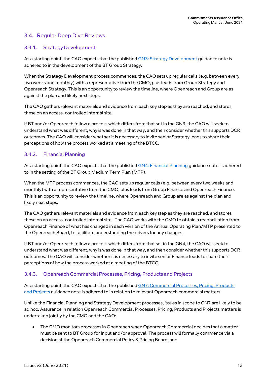### <span id="page-13-0"></span>3.4. Regular Deep Dive Reviews

#### 3.4.1. Strategy Development

As a starting point, the CAO expects that the publishe[d GN3: Strategy Development](https://www.bt.com/about/bt/policy-and-regulation/our-governance-and-strategy/our-commitments/guidance-notes) guidance note is adhered to in the development of the BT Group Strategy.

When the Strategy Development process commences, the CAO sets up regular calls (e.g. between every two weeks and monthly) with a representative from the CMO, plus leads from Group Strategy and Openreach Strategy. This is an opportunity to review the timeline, where Openreach and Group are as against the plan and likely next steps.

The CAO gathers relevant materials and evidence from each key step as they are reached, and stores these on an access-controlled internal site.

If BT and/or Openreach follow a process which differs from that set in the GN3, the CAO will seek to understand what was different, why is was done in that way, and then consider whether this supports DCR outcomes. The CAO will consider whether it is necessary to invite senior Strategy leads to share their perceptions of how the process worked at a meeting of the BTCC.

#### 3.4.2. Financial Planning

As a starting point, the CAO expects that the publishe[d GN4: Financial Planning](https://www.bt.com/about/bt/policy-and-regulation/our-governance-and-strategy/our-commitments/guidance-notes) guidance note is adhered to in the setting of the BT Group Medium Term Plan (MTP).

When the MTP process commences, the CAO sets up regular calls (e.g. between every two weeks and monthly) with a representative from the CMO, plus leads from Group Finance and Openreach Finance. This is an opportunity to review the timeline, where Openreach and Group are as against the plan and likely next steps.

The CAO gathers relevant materials and evidence from each key step as they are reached, and stores these on an access-controlled internal site. The CAO works with the CMO to obtain a reconciliation from Openreach Finance of what has changed in each version of the Annual Operating Plan/MTP presented to the Openreach Board, to facilitate understanding the drivers for any changes.

If BT and/or Openreach follow a process which differs from that set in the GN4, the CAO will seek to understand what was different, why is was done in that way, and then consider whether this supports DCR outcomes. The CAO will consider whether it is necessary to invite senior Finance leads to share their perceptions of how the process worked at a meeting of the BTCC.

#### 3.4.3. Openreach Commercial Processes, Pricing, Products and Projects

As a starting point, the CAO expects that the published GN7: Commercial Processes, Pricing, Products [and Projects](https://www.bt.com/about/bt/policy-and-regulation/our-governance-and-strategy/our-commitments/guidance-notes) guidance note is adhered to in relation to relevant Openreach commercial matters.

Unlike the Financial Planning and Strategy Development processes, issues in scope to GN7 are likely to be ad hoc. Assurance in relation Openreach Commercial Processes, Pricing, Products and Projects matters is undertaken jointly by the CMO and the CAO:

 The CMO monitors processes in Openreach when Openreach Commercial decides that a matter must be sent to BT Group for input and/or approval. The process will formally commence via a decision at the Openreach Commercial Policy & Pricing Board; and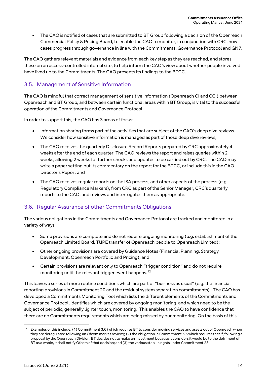The CAO is notified of cases that are submitted to BT Group following a decision of the Openreach Commercial Policy & Pricing Board, to enable the CAO to monitor, in conjunction with CRC, how cases progress through governance in line with the Commitments, Governance Protocol and GN7.

The CAO gathers relevant materials and evidence from each key step as they are reached, and stores these on an access-controlled internal site, to help inform the CAO's view about whether people involved have lived up to the Commitments. The CAO presents its findings to the BTCC.

### <span id="page-14-0"></span>3.5. Management of Sensitive Information

The CAO is mindful that correct management of sensitive information (Openreach CI and CCI) between Openreach and BT Group, and between certain functional areas within BT Group, is vital to the successful operation of the Commitments and Governance Protocol.

In order to support this, the CAO has 3 areas of focus:

- Information sharing forms part of the activities that are subject of the CAO's deep dive reviews. We consider how sensitive information is managed as part of those deep dive reviews;
- The CAO receives the quarterly Disclosure Record Reports prepared by CRC approximately 4 weeks after the end of each quarter. The CAO reviews the report and raises queries within 2 weeks, allowing 2 weeks for further checks and updates to be carried out by CRC. The CAO may write a paper setting out its commentary on the report for the BTCC, or include this in the CAO Director's Report and
- The CAO receives regular reports on the ISA process, and other aspects of the process (e.g. Regulatory Compliance Markers), from CRC as part of the Senior Manager, CRC's quarterly reports to the CAO, and reviews and interrogates them as appropriate.

### <span id="page-14-1"></span>3.6. Regular Assurance of other Commitments Obligations

The various obligations in the Commitments and Governance Protocol are tracked and monitored in a variety of ways:

- Some provisions are complete and do not require ongoing monitoring (e.g. establishment of the Openreach Limited Board, TUPE transfer of Openreach people to Openreach Limited);
- Other ongoing provisions are covered by Guidance Notes (Financial Planning, Strategy Development, Openreach Portfolio and Pricing); and
- Certain provisions are relevant only to Openreach "trigger condition" and do not require monitoring until the relevant trigger event happens.<sup>12</sup>

This leaves a series of more routine conditions which are part of "business as usual" (e.g. the financial reporting provisions in Commitment 20 and the residual system separation commitments). The CAO has developed a Commitments Monitoring Tool which lists the different elements of the Commitments and Governance Protocol, identifies which are covered by ongoing monitoring, and which need to be the subject of periodic, generally lighter touch, monitoring. This enables the CAO to have confidence that there are no Commitments requirements which are being missed by our monitoring. On the basis of this,

 $\overline{\phantom{a}}$ 

<sup>&</sup>lt;sup>12</sup> Examples of this include: (1) Commitment 3.6 (which requires BT to consider moving services and assets out of Openreach when they are deregulated following an Ofcom market review); (2) the obligation in Commitment 5.5 which requires that if, following a proposal by the Openreach Division, BT decides not to make an investment because it considers it would be to the detriment of BT as a whole, it shall notify Ofcom of that decision; and (3) the various step-in rights under Commitment 23.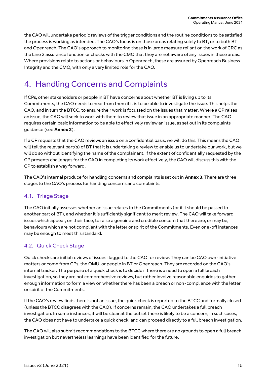the CAO will undertake periodic reviews of the trigger conditions and the routine conditions to be satisfied the process is working as intended. The CAO's focus is on those areas relating solely to BT, or to both BT and Openreach. The CAO's approach to monitoring these is in large measure reliant on the work of CRC as the Line 2 assurance function or checks with the CMO that they are not aware of any issues in these areas. Where provisions relate to actions or behaviours in Openreach, these are assured by Openreach Business Integrity and the CMO, with only a very limited role for the CAO.

# <span id="page-15-0"></span>4. Handling Concerns and Complaints

If CPs, other stakeholders or people in BT have concerns about whether BT is living up to its Commitments, the CAO needs to hear from them if it is to be able to investigate the issue. This helps the CAO, and in turn the BTCC, to ensure their work is focussed on the issues that matter. Where a CP raises an issue, the CAO will seek to work with them to review that issue in an appropriate manner. The CAO requires certain basic information to be able to effectively review an issue, as set out in its complaints guidance (see **Annex 2**).

If a CP requests that the CAO reviews an issue on a confidential basis, we will do this. This means the CAO will tell the relevant part(s) of BT that it is undertaking a review to enable us to undertake our work, but we will do so without identifying the name of the complainant. If the extent of confidentially requested by the CP presents challenges for the CAO in completing its work effectively, the CAO will discuss this with the CP to establish a way forward.

The CAO's internal produce for handling concerns and complaints is set out in **Annex 3**. There are three stages to the CAO's process for handing concerns and complaints.

### <span id="page-15-1"></span>4.1. Triage Stage

The CAO initially assesses whether an issue relates to the Commitments (or if it should be passed to another part of BT), and whether it is sufficiently significant to merit review. The CAO will take forward issues which appear, on their face, to raise a genuine and credible concern that there are, or may be, behaviours which are not compliant with the letter or spirit of the Commitments. Even one-off instances may be enough to meet this standard.

### <span id="page-15-2"></span>4.2. Quick Check Stage

Quick checks are initial reviews of issues flagged to the CAO for review. They can be CAO own-initiative matters or come from CPs, the OMU, or people in BT or Openreach. They are recorded on the CAO's internal tracker. The purpose of a quick check is to decide if there is a need to open a full breach investigation, so they are not comprehensive reviews, but rather involve reasonable enquiries to gather enough information to form a view on whether there has been a breach or non-compliance with the letter or spirit of the Commitments.

If the CAO's review finds there is not an issue, the quick check is reported to the BTCC and formally closed (unless the BTCC disagrees with the CAO). If concerns remain, the CAO undertakes a full breach investigation. In some instances, it will be clear at the outset there is likely to be a concern; in such cases, the CAO does not have to undertake a quick check, and can proceed directly to a full breach investigation.

The CAO will also submit recommendations to the BTCC where there are no grounds to open a full breach investigation but nevertheless learnings have been identified for the future.